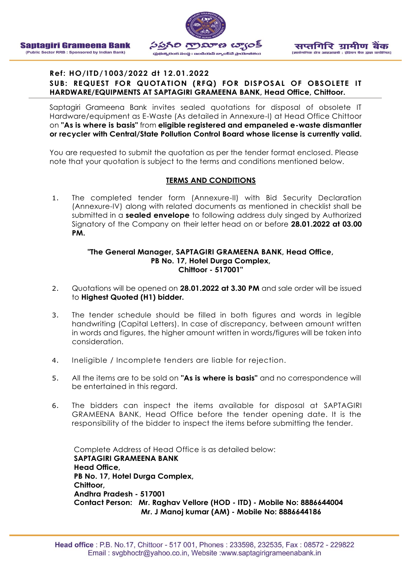



### **Ref: HO/ITD/1003/2022 dt 12.01.2022 SUB: REQUEST FOR QUOTATION (RFQ) FOR DISPOSAL OF OBSOLETE IT HARDWARE/EQUIPMENTS AT SAPTAGIRI GRAMEENA BANK, Head Office, Chittoor.**

Saptagiri Grameena Bank invites sealed quotations for disposal of obsolete IT Hardware/equipment as E-Waste (As detailed in Annexure-I) at Head Office Chittoor on **"As is where is basis"** from **eligible registered and empaneled e-waste dismantler or recycler with Central/State Pollution Control Board whose license is currently valid.**

You are requested to submit the quotation as per the tender format enclosed. Please note that your quotation is subject to the terms and conditions mentioned below.

### **TERMS AND CONDITIONS**

1. The completed tender form (Annexure-II) with Bid Security Declaration (Annexure-IV) along with related documents as mentioned in checklist shall be submitted in a **sealed envelope** to following address duly singed by Authorized Signatory of the Company on their letter head on or before **28.01.2022 at 03.00 PM.**

#### **"The General Manager, SAPTAGIRI GRAMEENA BANK, Head Office, PB No. 17, Hotel Durga Complex, Chittoor - 517001"**

- 2. Quotations will be opened on **28.01.2022 at 3.30 PM** and sale order will be issued to **Highest Quoted (H1) bidder.**
- 3. The tender schedule should be filled in both figures and words in legible handwriting (Capital Letters). In case of discrepancy, between amount written in words and figures, the higher amount written in words/figures will be taken into consideration.
- 4. Ineligible / Incomplete tenders are liable for rejection.
- 5. All the items are to be sold on **"As is where is basis"** and no correspondence will be entertained in this regard.
- 6. The bidders can inspect the items available for disposal at SAPTAGIRI GRAMEENA BANK, Head Office before the tender opening date. It is the responsibility of the bidder to inspect the items before submitting the tender.

Complete Address of Head Office is as detailed below: **SAPTAGIRI GRAMEENA BANK Head Office, PB No. 17, Hotel Durga Complex, Chittoor, Andhra Pradesh - 517001 Contact Person: Mr. Raghav Vellore (HOD - ITD) - Mobile No: 8886644004 Mr. J Manoj kumar (AM) - Mobile No: 8886644186**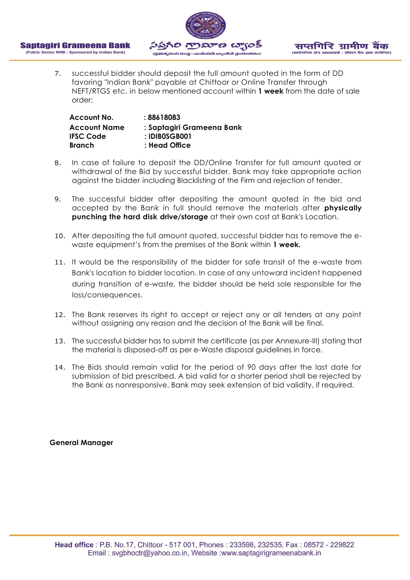



7. successful bidder should deposit the full amount quoted in the form of DD favoring "Indian Bank" payable at Chittoor or Online Transfer through NEFT/RTGS etc. in below mentioned account within **1 week** from the date of sale order:

| Account No.         | : 88618083                |
|---------------------|---------------------------|
| <b>Account Name</b> | : Saptagiri Grameena Bank |
| <b>IFSC Code</b>    | : IDIBOSGB001             |
| <b>Branch</b>       | : Head Office             |

- 8. In case of failure to deposit the DD/Online Transfer for full amount quoted or withdrawal of the Bid by successful bidder, Bank may take appropriate action against the bidder including Blacklisting of the Firm and rejection of tender.
- 9. The successful bidder after depositing the amount quoted in the bid and accepted by the Bank in full should remove the materials after **physically punching the hard disk drive/storage** at their own cost at Bank's Location.
- 10. After depositing the full amount quoted, successful bidder has to remove the ewaste equipment's from the premises of the Bank within **1 week.**
- 11. It would be the responsibility of the bidder for safe transit of the e-waste from Bank's location to bidder location. In case of any untoward incident happened during transition of e-waste, the bidder should be held sole responsible for the loss/consequences.
- 12. The Bank reserves its right to accept or reject any or all tenders at any point without assigning any reason and the decision of the Bank will be final.
- 13. The successful bidder has to submit the certificate (as per Annexure-III) stating that the material is disposed-off as per e-Waste disposal guidelines in force.
- 14. The Bids should remain valid for the period of 90 days after the last date for submission of bid prescribed. A bid valid for a shorter period shall be rejected by the Bank as nonresponsive. Bank may seek extension of bid validity, if required.

### **General Manager**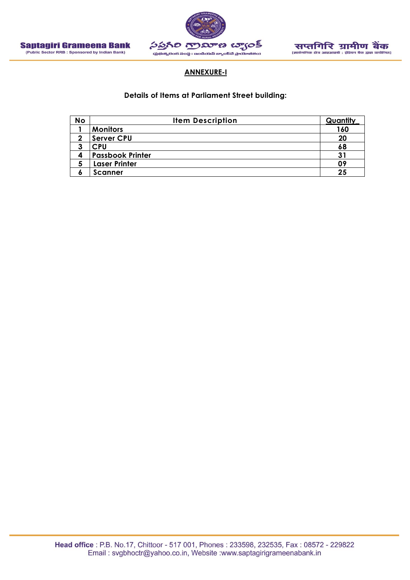



### **ANNEXURE-I**

### **Details of Items at Parliament Street building:**

| <b>No</b> | <b>Item Description</b> | Quantity |
|-----------|-------------------------|----------|
|           | <b>Monitors</b>         | 160      |
| ↑         | <b>Server CPU</b>       | 20       |
| 2<br>J    | <b>CPU</b>              | 68       |
| 4         | <b>Passbook Printer</b> | 31       |
| C         | <b>Laser Printer</b>    | 09       |
| O         | <b>Scanner</b>          | 25       |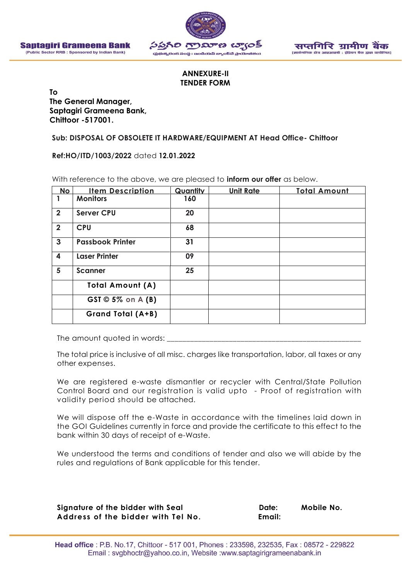



### **ANNEXURE-II TENDER FORM**

**To**

**The General Manager, Saptagiri Grameena Bank, Chittoor -517001.**

**Sub: DISPOSAL OF OBSOLETE IT HARDWARE/EQUIPMENT AT Head Office- Chittoor**

**Ref:HO/ITD/1003/2022** dated **12.01.2022**

| <b>No</b>               | <b>Item Description</b>    | Quantity | <b>Unit Rate</b> | <b>Total Amount</b> |
|-------------------------|----------------------------|----------|------------------|---------------------|
|                         | <b>Monitors</b>            | 160      |                  |                     |
| $\overline{2}$          | <b>Server CPU</b>          | 20       |                  |                     |
| $\overline{2}$          | <b>CPU</b>                 | 68       |                  |                     |
| $\mathbf{3}$            | <b>Passbook Printer</b>    | 31       |                  |                     |
| $\overline{\mathbf{4}}$ | <b>Laser Printer</b>       | 09       |                  |                     |
| 5                       | <b>Scanner</b>             | 25       |                  |                     |
|                         | <b>Total Amount (A)</b>    |          |                  |                     |
|                         | $GST \otimes 5\%$ on A (B) |          |                  |                     |
|                         | Grand Total (A+B)          |          |                  |                     |

With reference to the above, we are pleased to **inform our offer** as below.

The amount quoted in words:

The total price is inclusive of all misc. charges like transportation, labor, all taxes or any other expenses.

We are registered e-waste dismantler or recycler with Central/State Pollution Control Board and our registration is valid upto - Proof of registration with validity period should be attached.

We will dispose off the e-Waste in accordance with the timelines laid down in the GOI Guidelines currently in force and provide the certificate to this effect to the bank within 30 days of receipt of e-Waste.

We understood the terms and conditions of tender and also we will abide by the rules and regulations of Bank applicable for this tender.

Signature of the bidder with Seal **Date:** Mobile No. **Address of the bidder with Tel No. Email:**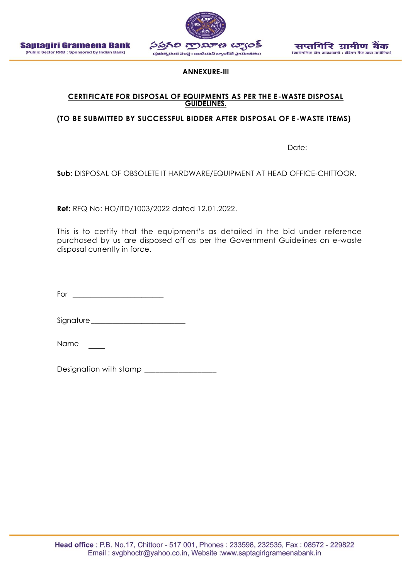



**ANNEXURE-III**

# **CERTIFICATE FOR DISPOSAL OF EQUIPMENTS AS PER THE E-WASTE DISPOSAL GUIDELINES.**

### **(TO BE SUBMITTED BY SUCCESSFUL BIDDER AFTER DISPOSAL OF E-WASTE ITEMS)**

Date:

**Sub:** DISPOSAL OF OBSOLETE IT HARDWARE/EQUIPMENT AT HEAD OFFICE-CHITTOOR.

**Ref:** RFQ No: HO/ITD/1003/2022 dated 12.01.2022.

This is to certify that the equipment's as detailed in the bid under reference purchased by us are disposed off as per the Government Guidelines on e-waste disposal currently in force.

For \_\_\_\_\_\_\_\_\_\_\_\_\_\_\_\_\_\_\_\_\_\_\_\_\_

Signature

Name

Designation with stamp \_\_\_\_\_\_\_\_\_\_\_\_\_\_\_\_\_\_\_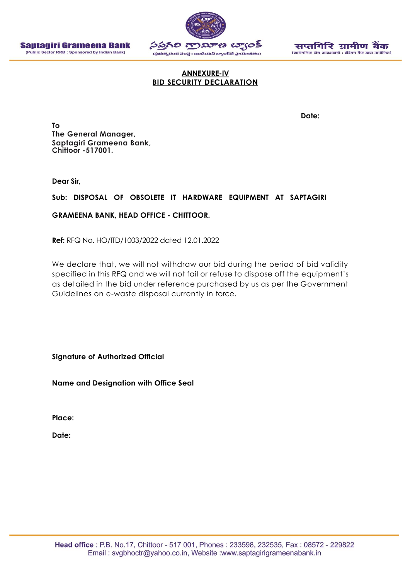



### **ANNEXURE-IV BID SECURITY DECLARATION**

**Date:**

**To The General Manager, Saptagiri Grameena Bank, Chittoor -517001.**

**Dear Sir,**

### **Sub: DISPOSAL OF OBSOLETE IT HARDWARE EQUIPMENT AT SAPTAGIRI**

### **GRAMEENA BANK, HEAD OFFICE - CHITTOOR.**

**Ref:** RFQ No. HO/ITD/1003/2022 dated 12.01.2022

We declare that, we will not withdraw our bid during the period of bid validity specified in this RFQ and we will not fail or refuse to dispose off the equipment's as detailed in the bid under reference purchased by us as per the Government Guidelines on e-waste disposal currently in force.

**Signature of Authorized Official**

**Name and Designation with Office Seal**

**Place:**

**Date:**